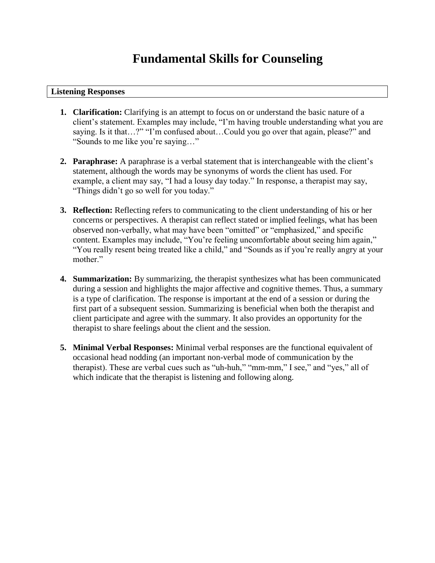## **Fundamental Skills for Counseling**

## **Listening Responses**

- **1. Clarification:** Clarifying is an attempt to focus on or understand the basic nature of a client's statement. Examples may include, "I'm having trouble understanding what you are saying. Is it that...?" "I'm confused about...Could you go over that again, please?" and "Sounds to me like you're saying…"
- **2. Paraphrase:** A paraphrase is a verbal statement that is interchangeable with the client's statement, although the words may be synonyms of words the client has used. For example, a client may say, "I had a lousy day today." In response, a therapist may say, "Things didn't go so well for you today."
- **3. Reflection:** Reflecting refers to communicating to the client understanding of his or her concerns or perspectives. A therapist can reflect stated or implied feelings, what has been observed non-verbally, what may have been "omitted" or "emphasized," and specific content. Examples may include, "You're feeling uncomfortable about seeing him again," "You really resent being treated like a child," and "Sounds as if you're really angry at your mother."
- **4. Summarization:** By summarizing, the therapist synthesizes what has been communicated during a session and highlights the major affective and cognitive themes. Thus, a summary is a type of clarification. The response is important at the end of a session or during the first part of a subsequent session. Summarizing is beneficial when both the therapist and client participate and agree with the summary. It also provides an opportunity for the therapist to share feelings about the client and the session.
- **5. Minimal Verbal Responses:** Minimal verbal responses are the functional equivalent of occasional head nodding (an important non-verbal mode of communication by the therapist). These are verbal cues such as "uh-huh," "mm-mm," I see," and "yes," all of which indicate that the therapist is listening and following along.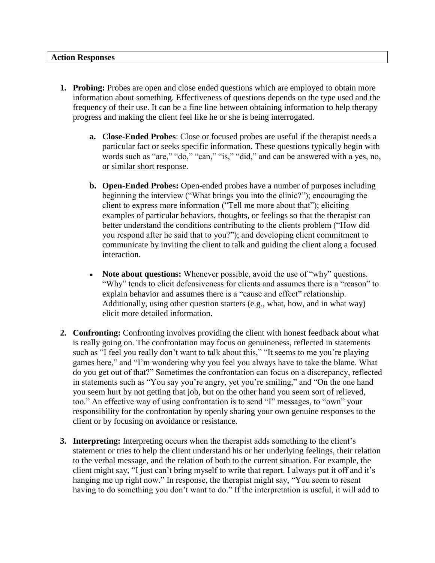## **Action Responses**

- **1. Probing:** Probes are open and close ended questions which are employed to obtain more information about something. Effectiveness of questions depends on the type used and the frequency of their use. It can be a fine line between obtaining information to help therapy progress and making the client feel like he or she is being interrogated.
	- **a. Close-Ended Probes**: Close or focused probes are useful if the therapist needs a particular fact or seeks specific information. These questions typically begin with words such as "are," "do," "can," "is," "did," and can be answered with a yes, no, or similar short response.
	- **b. Open-Ended Probes:** Open-ended probes have a number of purposes including beginning the interview ("What brings you into the clinic?"); encouraging the client to express more information ("Tell me more about that"); eliciting examples of particular behaviors, thoughts, or feelings so that the therapist can better understand the conditions contributing to the clients problem ("How did you respond after he said that to you?"); and developing client commitment to communicate by inviting the client to talk and guiding the client along a focused interaction.
	- **Note about questions:** Whenever possible, avoid the use of "why" questions. "Why" tends to elicit defensiveness for clients and assumes there is a "reason" to explain behavior and assumes there is a "cause and effect" relationship. Additionally, using other question starters (e.g., what, how, and in what way) elicit more detailed information.
- **2. Confronting:** Confronting involves providing the client with honest feedback about what is really going on. The confrontation may focus on genuineness, reflected in statements such as "I feel you really don't want to talk about this," "It seems to me you're playing games here," and "I'm wondering why you feel you always have to take the blame. What do you get out of that?" Sometimes the confrontation can focus on a discrepancy, reflected in statements such as "You say you're angry, yet you're smiling," and "On the one hand you seem hurt by not getting that job, but on the other hand you seem sort of relieved, too." An effective way of using confrontation is to send "I" messages, to "own" your responsibility for the confrontation by openly sharing your own genuine responses to the client or by focusing on avoidance or resistance.
- **3. Interpreting:** Interpreting occurs when the therapist adds something to the client's statement or tries to help the client understand his or her underlying feelings, their relation to the verbal message, and the relation of both to the current situation. For example, the client might say, "I just can't bring myself to write that report. I always put it off and it's hanging me up right now." In response, the therapist might say, "You seem to resent having to do something you don't want to do." If the interpretation is useful, it will add to